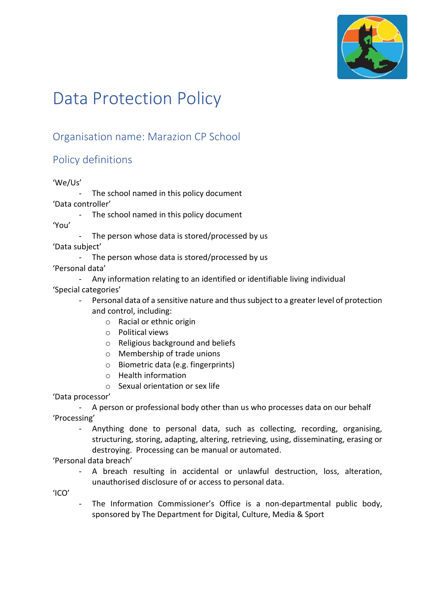

# Data Protection Policy

# Organisation name: Marazion CP School

# Policy definitions

### 'We/Us'

- The school named in this policy document 'Data controller'
	- The school named in this policy document

'You'

- The person whose data is stored/processed by us

'Data subject'

- The person whose data is stored/processed by us
- 'Personal data'
	- Any information relating to an identified or identifiable living individual

'Special categories'

- Personal data of a sensitive nature and thus subject to a greater level of protection and control, including:
	- o Racial or ethnic origin
	- o Political views
	- o Religious background and beliefs
	- o Membership of trade unions
	- o Biometric data (e.g. fingerprints)
	- o Health information
	- o Sexual orientation or sex life

'Data processor'

- A person or professional body other than us who processes data on our behalf 'Processing'

- Anything done to personal data, such as collecting, recording, organising, structuring, storing, adapting, altering, retrieving, using, disseminating, erasing or destroying. Processing can be manual or automated.

'Personal data breach'

A breach resulting in accidental or unlawful destruction, loss, alteration, unauthorised disclosure of or access to personal data.

'ICO'

The Information Commissioner's Office is a non-departmental public body, sponsored by The Department for Digital, Culture, Media & Sport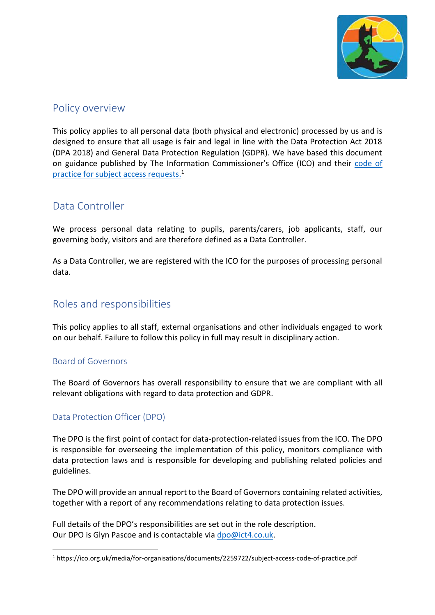

### Policy overview

This policy applies to all personal data (both physical and electronic) processed by us and is designed to ensure that all usage is fair and legal in line with the Data Protection Act 2018 (DPA 2018) and General Data Protection Regulation (GDPR). We have based this document on guidance published by The Information Commissioner's Office (ICO) and their [code of](https://ico.org.uk/media/for-organisations/documents/2259722/subject-access-code-of-practice.pdf)  [practice for subject access requests.](https://ico.org.uk/media/for-organisations/documents/2259722/subject-access-code-of-practice.pdf) 1

## Data Controller

We process personal data relating to pupils, parents/carers, job applicants, staff, our governing body, visitors and are therefore defined as a Data Controller.

As a Data Controller, we are registered with the ICO for the purposes of processing personal data.

# Roles and responsibilities

This policy applies to all staff, external organisations and other individuals engaged to work on our behalf. Failure to follow this policy in full may result in disciplinary action.

### Board of Governors

 $\overline{a}$ 

The Board of Governors has overall responsibility to ensure that we are compliant with all relevant obligations with regard to data protection and GDPR.

### Data Protection Officer (DPO)

The DPO is the first point of contact for data-protection-related issues from the ICO. The DPO is responsible for overseeing the implementation of this policy, monitors compliance with data protection laws and is responsible for developing and publishing related policies and guidelines.

The DPO will provide an annual report to the Board of Governors containing related activities, together with a report of any recommendations relating to data protection issues.

Full details of the DPO's responsibilities are set out in the role description. Our DPO is Glyn Pascoe and is contactable via [dpo@ict4.co.uk.](mailto:dpo@ict4.co.uk)

<sup>1</sup> https://ico.org.uk/media/for-organisations/documents/2259722/subject-access-code-of-practice.pdf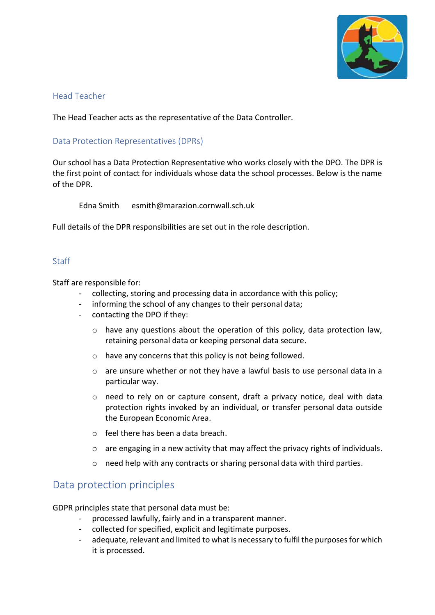

### Head Teacher

The Head Teacher acts as the representative of the Data Controller.

### Data Protection Representatives (DPRs)

Our school has a Data Protection Representative who works closely with the DPO. The DPR is the first point of contact for individuals whose data the school processes. Below is the name of the DPR.

Edna Smith esmith@marazion.cornwall.sch.uk

Full details of the DPR responsibilities are set out in the role description.

### Staff

Staff are responsible for:

- collecting, storing and processing data in accordance with this policy;
- informing the school of any changes to their personal data;
- contacting the DPO if they:
	- o have any questions about the operation of this policy, data protection law, retaining personal data or keeping personal data secure.
	- o have any concerns that this policy is not being followed.
	- o are unsure whether or not they have a lawful basis to use personal data in a particular way.
	- $\circ$  need to rely on or capture consent, draft a privacy notice, deal with data protection rights invoked by an individual, or transfer personal data outside the European Economic Area.
	- o feel there has been a data breach.
	- $\circ$  are engaging in a new activity that may affect the privacy rights of individuals.
	- o need help with any contracts or sharing personal data with third parties.

### Data protection principles

GDPR principles state that personal data must be:

- processed lawfully, fairly and in a transparent manner.
- collected for specified, explicit and legitimate purposes.
- adequate, relevant and limited to what is necessary to fulfil the purposes for which it is processed.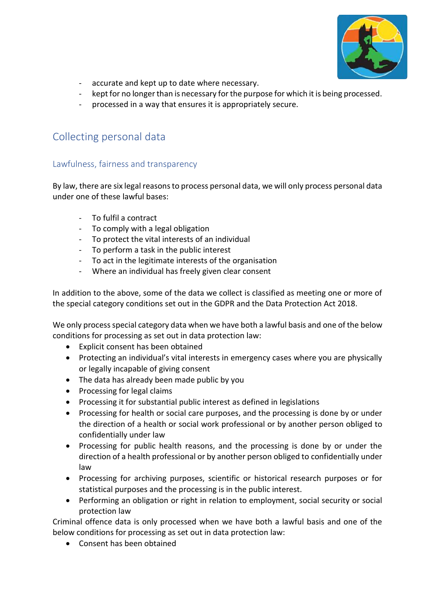

- accurate and kept up to date where necessary.
- kept for no longer than is necessary for the purpose for which it is being processed.
- processed in a way that ensures it is appropriately secure.

## Collecting personal data

### Lawfulness, fairness and transparency

By law, there are six legal reasons to process personal data, we will only process personal data under one of these lawful bases:

- To fulfil a contract
- To comply with a legal obligation
- To protect the vital interests of an individual
- To perform a task in the public interest
- To act in the legitimate interests of the organisation
- Where an individual has freely given clear consent

In addition to the above, some of the data we collect is classified as meeting one or more of the special category conditions set out in the GDPR and the Data Protection Act 2018.

We only process special category data when we have both a lawful basis and one of the below conditions for processing as set out in data protection law:

- Explicit consent has been obtained
- Protecting an individual's vital interests in emergency cases where you are physically or legally incapable of giving consent
- The data has already been made public by you
- Processing for legal claims
- Processing it for substantial public interest as defined in legislations
- Processing for health or social care purposes, and the processing is done by or under the direction of a health or social work professional or by another person obliged to confidentially under law
- Processing for public health reasons, and the processing is done by or under the direction of a health professional or by another person obliged to confidentially under law
- Processing for archiving purposes, scientific or historical research purposes or for statistical purposes and the processing is in the public interest.
- Performing an obligation or right in relation to employment, social security or social protection law

Criminal offence data is only processed when we have both a lawful basis and one of the below conditions for processing as set out in data protection law:

• Consent has been obtained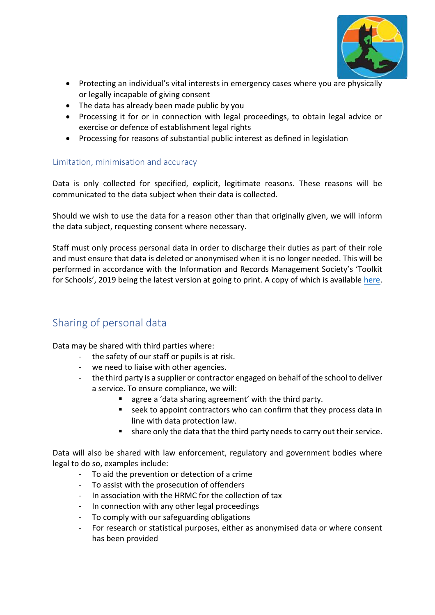

- Protecting an individual's vital interests in emergency cases where you are physically or legally incapable of giving consent
- The data has already been made public by you
- Processing it for or in connection with legal proceedings, to obtain legal advice or exercise or defence of establishment legal rights
- Processing for reasons of substantial public interest as defined in legislation

### Limitation, minimisation and accuracy

Data is only collected for specified, explicit, legitimate reasons. These reasons will be communicated to the data subject when their data is collected.

Should we wish to use the data for a reason other than that originally given, we will inform the data subject, requesting consent where necessary.

Staff must only process personal data in order to discharge their duties as part of their role and must ensure that data is deleted or anonymised when it is no longer needed. This will be performed in accordance with the Information and Records Management Society's 'Toolkit for Schools', 2019 being the latest version at going to print. A copy of which is available [here.](https://irms.org.uk/page/SchoolsToolkit)

# Sharing of personal data

Data may be shared with third parties where:

- the safety of our staff or pupils is at risk.
- we need to liaise with other agencies.
- the third party is a supplier or contractor engaged on behalf of the school to deliver a service. To ensure compliance, we will:
	- agree a 'data sharing agreement' with the third party.
	- seek to appoint contractors who can confirm that they process data in line with data protection law.
	- share only the data that the third party needs to carry out their service.

Data will also be shared with law enforcement, regulatory and government bodies where legal to do so, examples include:

- To aid the prevention or detection of a crime
- To assist with the prosecution of offenders
- In association with the HRMC for the collection of tax
- In connection with any other legal proceedings
- To comply with our safeguarding obligations
- For research or statistical purposes, either as anonymised data or where consent has been provided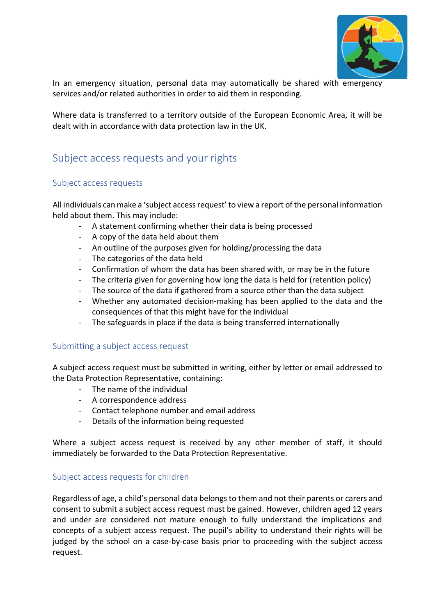

In an emergency situation, personal data may automatically be shared with emergency services and/or related authorities in order to aid them in responding.

Where data is transferred to a territory outside of the European Economic Area, it will be dealt with in accordance with data protection law in the UK.

## Subject access requests and your rights

#### Subject access requests

All individuals can make a 'subject access request' to view a report of the personal information held about them. This may include:

- A statement confirming whether their data is being processed
- A copy of the data held about them
- An outline of the purposes given for holding/processing the data
- The categories of the data held
- Confirmation of whom the data has been shared with, or may be in the future
- The criteria given for governing how long the data is held for (retention policy)
- The source of the data if gathered from a source other than the data subject
- Whether any automated decision-making has been applied to the data and the consequences of that this might have for the individual
- The safeguards in place if the data is being transferred internationally

#### Submitting a subject access request

A subject access request must be submitted in writing, either by letter or email addressed to the Data Protection Representative, containing:

- The name of the individual
- A correspondence address
- Contact telephone number and email address
- Details of the information being requested

Where a subject access request is received by any other member of staff, it should immediately be forwarded to the Data Protection Representative.

#### Subject access requests for children

Regardless of age, a child's personal data belongs to them and not their parents or carers and consent to submit a subject access request must be gained. However, children aged 12 years and under are considered not mature enough to fully understand the implications and concepts of a subject access request. The pupil's ability to understand their rights will be judged by the school on a case-by-case basis prior to proceeding with the subject access request.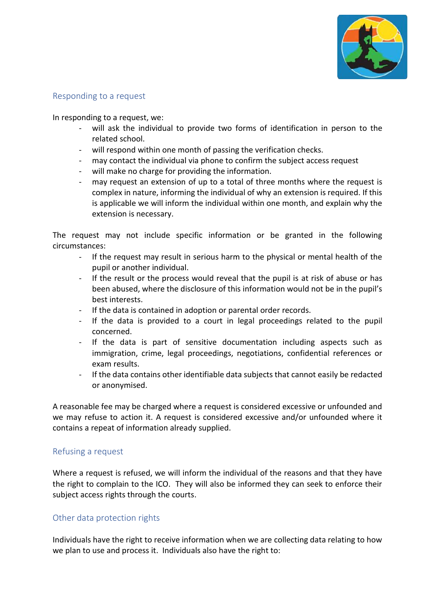

### Responding to a request

In responding to a request, we:

- will ask the individual to provide two forms of identification in person to the related school.
- will respond within one month of passing the verification checks.
- may contact the individual via phone to confirm the subject access request
- will make no charge for providing the information.
- may request an extension of up to a total of three months where the request is complex in nature, informing the individual of why an extension is required. If this is applicable we will inform the individual within one month, and explain why the extension is necessary.

The request may not include specific information or be granted in the following circumstances:

- If the request may result in serious harm to the physical or mental health of the pupil or another individual.
- If the result or the process would reveal that the pupil is at risk of abuse or has been abused, where the disclosure of this information would not be in the pupil's best interests.
- If the data is contained in adoption or parental order records.
- If the data is provided to a court in legal proceedings related to the pupil concerned.
- If the data is part of sensitive documentation including aspects such as immigration, crime, legal proceedings, negotiations, confidential references or exam results.
- If the data contains other identifiable data subjects that cannot easily be redacted or anonymised.

A reasonable fee may be charged where a request is considered excessive or unfounded and we may refuse to action it. A request is considered excessive and/or unfounded where it contains a repeat of information already supplied.

#### Refusing a request

Where a request is refused, we will inform the individual of the reasons and that they have the right to complain to the ICO. They will also be informed they can seek to enforce their subject access rights through the courts.

#### Other data protection rights

Individuals have the right to receive information when we are collecting data relating to how we plan to use and process it. Individuals also have the right to: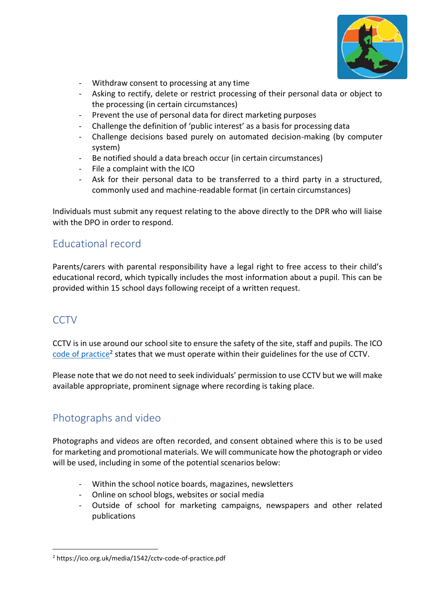

- Withdraw consent to processing at any time
- Asking to rectify, delete or restrict processing of their personal data or object to the processing (in certain circumstances)
- Prevent the use of personal data for direct marketing purposes
- Challenge the definition of 'public interest' as a basis for processing data
- Challenge decisions based purely on automated decision-making (by computer system)
- Be notified should a data breach occur (in certain circumstances)
- File a complaint with the ICO
- Ask for their personal data to be transferred to a third party in a structured, commonly used and machine-readable format (in certain circumstances)

Individuals must submit any request relating to the above directly to the DPR who will liaise with the DPO in order to respond.

## Educational record

Parents/carers with parental responsibility have a legal right to free access to their child's educational record, which typically includes the most information about a pupil. This can be provided within 15 school days following receipt of a written request.

### **CCTV**

 $\overline{a}$ 

CCTV is in use around our school site to ensure the safety of the site, staff and pupils. The ICO [code of practice](https://ico.org.uk/media/1542/cctv-code-of-practice.pdf)<sup>2</sup> states that we must operate within their guidelines for the use of CCTV.

Please note that we do not need to seek individuals' permission to use CCTV but we will make available appropriate, prominent signage where recording is taking place.

# Photographs and video

Photographs and videos are often recorded, and consent obtained where this is to be used for marketing and promotional materials. We will communicate how the photograph or video will be used, including in some of the potential scenarios below:

- Within the school notice boards, magazines, newsletters
- Online on school blogs, websites or social media
- Outside of school for marketing campaigns, newspapers and other related publications

<sup>2</sup> https://ico.org.uk/media/1542/cctv-code-of-practice.pdf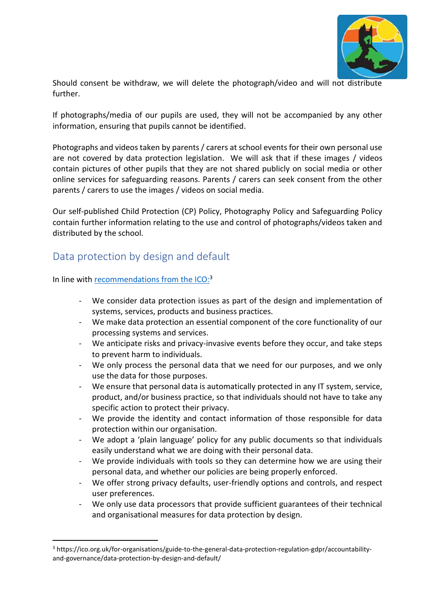

Should consent be withdraw, we will delete the photograph/video and will not distribute further.

If photographs/media of our pupils are used, they will not be accompanied by any other information, ensuring that pupils cannot be identified.

Photographs and videos taken by parents / carers at school events for their own personal use are not covered by data protection legislation. We will ask that if these images / videos contain pictures of other pupils that they are not shared publicly on social media or other online services for safeguarding reasons. Parents / carers can seek consent from the other parents / carers to use the images / videos on social media.

Our self-published Child Protection (CP) Policy, Photography Policy and Safeguarding Policy contain further information relating to the use and control of photographs/videos taken and distributed by the school.

## Data protection by design and default

In line with [recommendations from the ICO:](https://ico.org.uk/for-organisations/guide-to-the-general-data-protection-regulation-gdpr/accountability-and-governance/data-protection-by-design-and-default/)<sup>3</sup>

 $\overline{a}$ 

- We consider data protection issues as part of the design and implementation of systems, services, products and business practices.
- We make data protection an essential component of the core functionality of our processing systems and services.
- We anticipate risks and privacy-invasive events before they occur, and take steps to prevent harm to individuals.
- We only process the personal data that we need for our purposes, and we only use the data for those purposes.
- We ensure that personal data is automatically protected in any IT system, service, product, and/or business practice, so that individuals should not have to take any specific action to protect their privacy.
- We provide the identity and contact information of those responsible for data protection within our organisation.
- We adopt a 'plain language' policy for any public documents so that individuals easily understand what we are doing with their personal data.
- We provide individuals with tools so they can determine how we are using their personal data, and whether our policies are being properly enforced.
- We offer strong privacy defaults, user-friendly options and controls, and respect user preferences.
- We only use data processors that provide sufficient guarantees of their technical and organisational measures for data protection by design.

<sup>3</sup> https://ico.org.uk/for-organisations/guide-to-the-general-data-protection-regulation-gdpr/accountabilityand-governance/data-protection-by-design-and-default/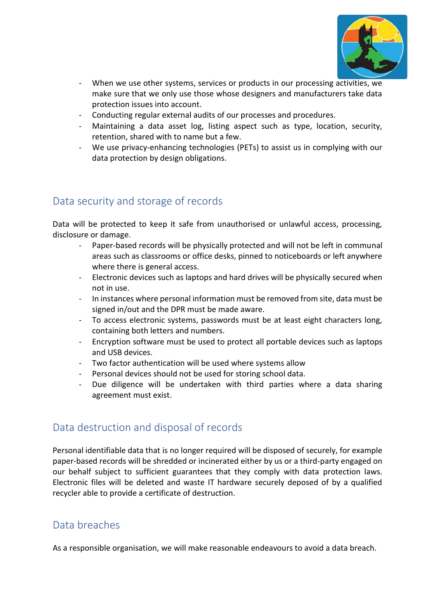

- When we use other systems, services or products in our processing activities, we make sure that we only use those whose designers and manufacturers take data protection issues into account.
- Conducting regular external audits of our processes and procedures.
- Maintaining a data asset log, listing aspect such as type, location, security, retention, shared with to name but a few.
- We use privacy-enhancing technologies (PETs) to assist us in complying with our data protection by design obligations.

# Data security and storage of records

Data will be protected to keep it safe from unauthorised or unlawful access, processing, disclosure or damage.

- Paper-based records will be physically protected and will not be left in communal areas such as classrooms or office desks, pinned to noticeboards or left anywhere where there is general access.
- Electronic devices such as laptops and hard drives will be physically secured when not in use.
- In instances where personal information must be removed from site, data must be signed in/out and the DPR must be made aware.
- To access electronic systems, passwords must be at least eight characters long, containing both letters and numbers.
- Encryption software must be used to protect all portable devices such as laptops and USB devices.
- Two factor authentication will be used where systems allow
- Personal devices should not be used for storing school data.
- Due diligence will be undertaken with third parties where a data sharing agreement must exist.

# Data destruction and disposal of records

Personal identifiable data that is no longer required will be disposed of securely, for example paper-based records will be shredded or incinerated either by us or a third-party engaged on our behalf subject to sufficient guarantees that they comply with data protection laws. Electronic files will be deleted and waste IT hardware securely deposed of by a qualified recycler able to provide a certificate of destruction.

# Data breaches

As a responsible organisation, we will make reasonable endeavours to avoid a data breach.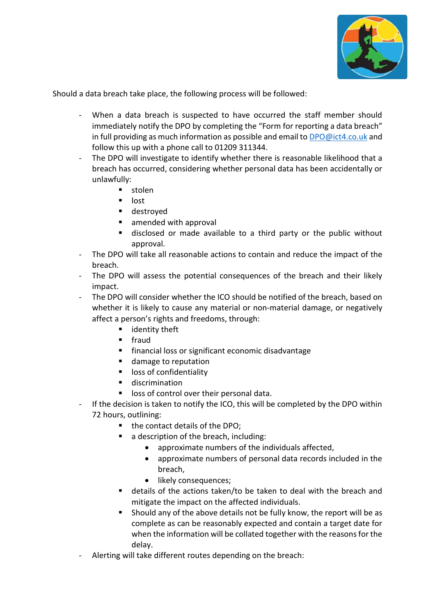

Should a data breach take place, the following process will be followed:

- When a data breach is suspected to have occurred the staff member should immediately notify the DPO by completing the "Form for reporting a data breach" in full providing as much information as possible and email to [DPO@ict4.co.uk](mailto:DPO@ict4.co.uk) and follow this up with a phone call to 01209 311344.
- The DPO will investigate to identify whether there is reasonable likelihood that a breach has occurred, considering whether personal data has been accidentally or unlawfully:
	- stolen
	- lost
	- destroyed
	- amended with approval
	- disclosed or made available to a third party or the public without approval.
- The DPO will take all reasonable actions to contain and reduce the impact of the breach.
- The DPO will assess the potential consequences of the breach and their likely impact.
- The DPO will consider whether the ICO should be notified of the breach, based on whether it is likely to cause any material or non-material damage, or negatively affect a person's rights and freedoms, through:
	- identity theft
	- fraud
	- financial loss or significant economic disadvantage
	- damage to reputation
	- loss of confidentiality
	- discrimination
	- loss of control over their personal data.
- If the decision is taken to notify the ICO, this will be completed by the DPO within 72 hours, outlining:
	- the contact details of the DPO;
	- a description of the breach, including:
		- approximate numbers of the individuals affected,
		- approximate numbers of personal data records included in the breach,
		- likely consequences;
	- details of the actions taken/to be taken to deal with the breach and mitigate the impact on the affected individuals.
	- Should any of the above details not be fully know, the report will be as complete as can be reasonably expected and contain a target date for when the information will be collated together with the reasons for the delay.
- Alerting will take different routes depending on the breach: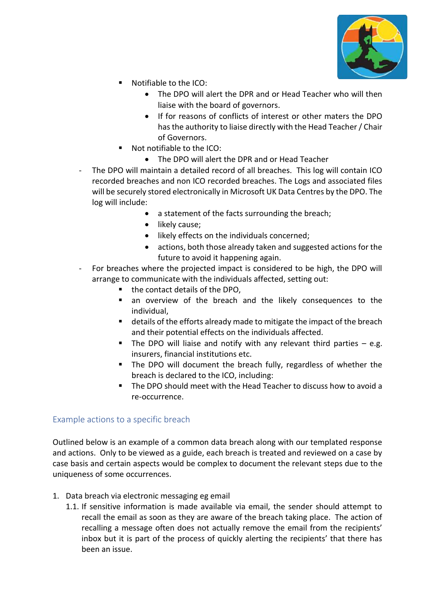

- Notifiable to the ICO:
	- The DPO will alert the DPR and or Head Teacher who will then liaise with the board of governors.
	- If for reasons of conflicts of interest or other maters the DPO has the authority to liaise directly with the Head Teacher / Chair of Governors.
- Not notifiable to the ICO:
	- The DPO will alert the DPR and or Head Teacher
- The DPO will maintain a detailed record of all breaches. This log will contain ICO recorded breaches and non ICO recorded breaches. The Logs and associated files will be securely stored electronically in Microsoft UK Data Centres by the DPO. The log will include:
	- a statement of the facts surrounding the breach;
	- likely cause;
	- likely effects on the individuals concerned;
	- actions, both those already taken and suggested actions for the future to avoid it happening again.
- For breaches where the projected impact is considered to be high, the DPO will arrange to communicate with the individuals affected, setting out:
	- the contact details of the DPO,
	- an overview of the breach and the likely consequences to the individual,
	- details of the efforts already made to mitigate the impact of the breach and their potential effects on the individuals affected.
	- $\blacksquare$  The DPO will liaise and notify with any relevant third parties  $-$  e.g. insurers, financial institutions etc.
	- The DPO will document the breach fully, regardless of whether the breach is declared to the ICO, including:
	- The DPO should meet with the Head Teacher to discuss how to avoid a re-occurrence.

### Example actions to a specific breach

Outlined below is an example of a common data breach along with our templated response and actions. Only to be viewed as a guide, each breach is treated and reviewed on a case by case basis and certain aspects would be complex to document the relevant steps due to the uniqueness of some occurrences.

- 1. Data breach via electronic messaging eg email
	- 1.1. If sensitive information is made available via email, the sender should attempt to recall the email as soon as they are aware of the breach taking place. The action of recalling a message often does not actually remove the email from the recipients' inbox but it is part of the process of quickly alerting the recipients' that there has been an issue.